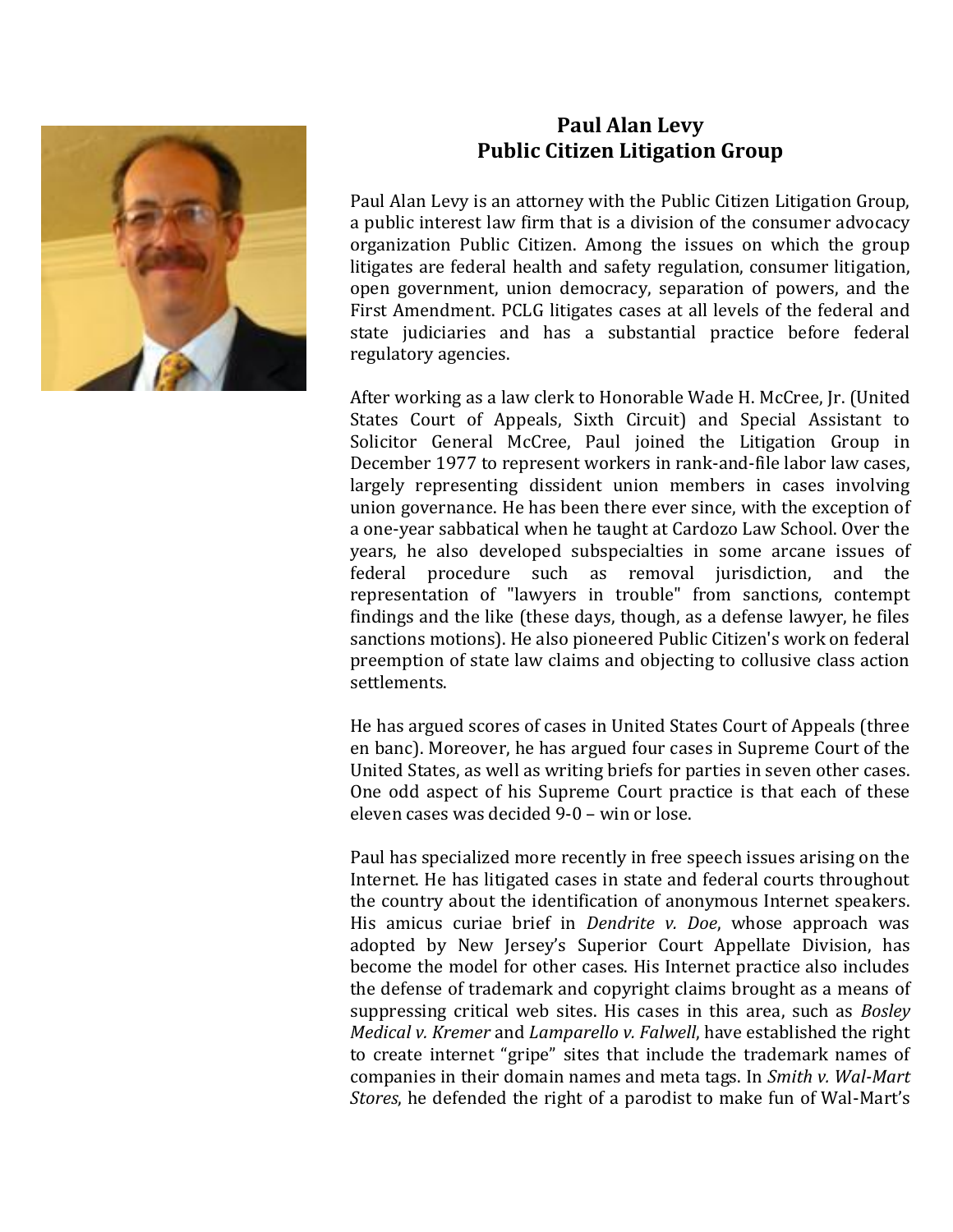

## **Paul Alan Levy Public Citizen Litigation Group**

Paul Alan Levy is an attorney with the Public Citizen Litigation Group, a public interest law firm that is a division of the consumer advocacy organization Public Citizen. Among the issues on which the group litigates are federal health and safety regulation, consumer litigation, open government, union democracy, separation of powers, and the First Amendment. PCLG litigates cases at all levels of the federal and state judiciaries and has a substantial practice before federal regulatory agencies.

After working as a law clerk to Honorable Wade H. McCree, Jr. (United States Court of Appeals, Sixth Circuit) and Special Assistant to Solicitor General McCree, Paul joined the Litigation Group in December 1977 to represent workers in rank-and-file labor law cases, largely representing dissident union members in cases involving union governance. He has been there ever since, with the exception of a one-year sabbatical when he taught at Cardozo Law School. Over the years, he also developed subspecialties in some arcane issues of federal procedure such as removal jurisdiction, and the representation of "lawyers in trouble" from sanctions, contempt findings and the like (these days, though, as a defense lawyer, he files sanctions motions). He also pioneered Public Citizen's work on federal preemption of state law claims and objecting to collusive class action settlements.

He has argued scores of cases in United States Court of Appeals (three en banc). Moreover, he has argued four cases in Supreme Court of the United States, as well as writing briefs for parties in seven other cases. One odd aspect of his Supreme Court practice is that each of these eleven cases was decided 9-0 – win or lose.

Paul has specialized more recently in free speech issues arising on the Internet. He has litigated cases in state and federal courts throughout the country about the identification of anonymous Internet speakers. His amicus curiae brief in *Dendrite v. Doe*, whose approach was adopted by New Jersey's Superior Court Appellate Division, has become the model for other cases. His Internet practice also includes the defense of trademark and copyright claims brought as a means of suppressing critical web sites. His cases in this area, such as *Bosley Medical v. Kremer* and *Lamparello v. Falwell*, have established the right to create internet "gripe" sites that include the trademark names of companies in their domain names and meta tags. In *Smith v. Wal-Mart Stores*, he defended the right of a parodist to make fun of Wal-Mart's